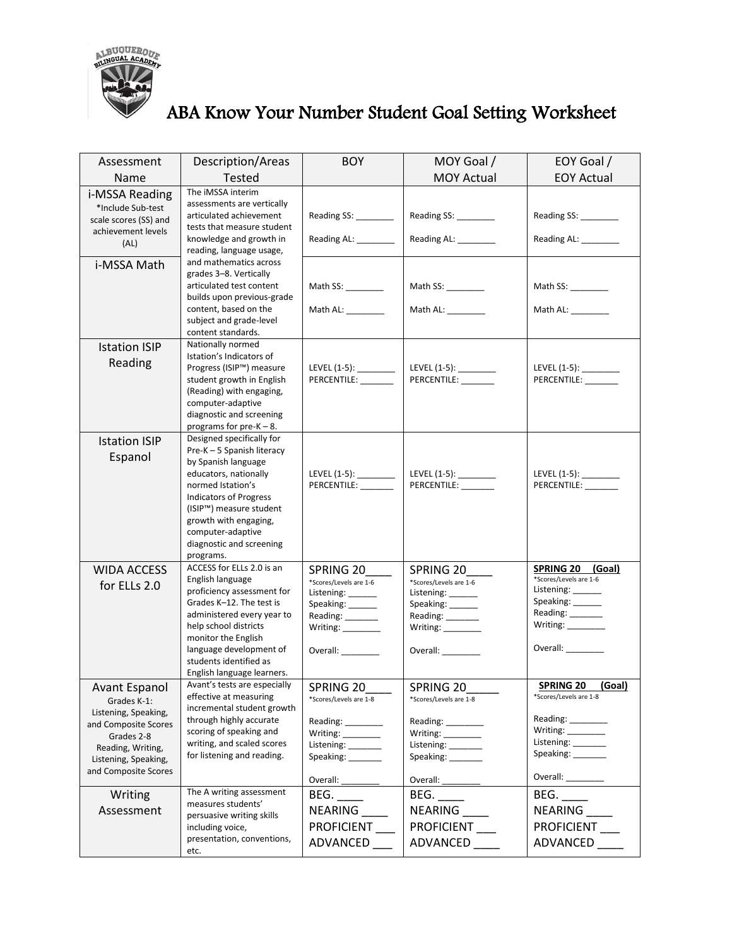

## ABA Know Your Number Student Goal Setting Worksheet

| Assessment                      | Description/Areas                                       | <b>BOY</b>                                  | MOY Goal /                                     | EOY Goal /                                      |
|---------------------------------|---------------------------------------------------------|---------------------------------------------|------------------------------------------------|-------------------------------------------------|
| Name                            | Tested                                                  |                                             | <b>MOY Actual</b>                              | <b>EOY Actual</b>                               |
| i-MSSA Reading                  | The iMSSA interim                                       |                                             |                                                |                                                 |
| *Include Sub-test               | assessments are vertically                              |                                             |                                                |                                                 |
| scale scores (SS) and           | articulated achievement                                 | Reading SS: ________                        | Reading SS: ________                           | Reading SS:                                     |
| achievement levels              | tests that measure student<br>knowledge and growth in   | Reading AL: _______                         | Reading AL: _______                            | Reading AL: _______                             |
| (AL)                            | reading, language usage,                                |                                             |                                                |                                                 |
| i-MSSA Math                     | and mathematics across                                  |                                             |                                                |                                                 |
|                                 | grades 3-8. Vertically                                  |                                             |                                                |                                                 |
|                                 | articulated test content<br>builds upon previous-grade  | Math SS: $\_\_\_\_\_\_\_\_\_\_\_\_\_\_\$    | Math SS: _________                             | Math SS: _________                              |
|                                 | content, based on the                                   | Math AL: _________                          | Math AL: _________                             | Math AL: ________                               |
|                                 | subject and grade-level                                 |                                             |                                                |                                                 |
|                                 | content standards.                                      |                                             |                                                |                                                 |
| <b>Istation ISIP</b>            | Nationally normed                                       |                                             |                                                |                                                 |
| Reading                         | Istation's Indicators of<br>Progress (ISIP™) measure    |                                             |                                                |                                                 |
|                                 | student growth in English                               | PERCENTILE: ________                        | LEVEL (1-5): _________<br>PERCENTILE: ________ | LEVEL $(1-5)$ : _________<br>PERCENTILE: ______ |
|                                 | (Reading) with engaging,                                |                                             |                                                |                                                 |
|                                 | computer-adaptive                                       |                                             |                                                |                                                 |
|                                 | diagnostic and screening                                |                                             |                                                |                                                 |
|                                 | programs for $pre-K - 8$ .                              |                                             |                                                |                                                 |
| <b>Istation ISIP</b>            | Designed specifically for<br>Pre-K - 5 Spanish literacy |                                             |                                                |                                                 |
| Espanol                         | by Spanish language                                     |                                             |                                                |                                                 |
|                                 | educators, nationally                                   | LEVEL (1-5): _________                      | LEVEL (1-5): _________                         | LEVEL (1-5): ________                           |
|                                 | normed Istation's                                       | PERCENTILE: _______                         | PERCENTILE:                                    | PERCENTILE:                                     |
|                                 | <b>Indicators of Progress</b>                           |                                             |                                                |                                                 |
|                                 | (ISIP™) measure student<br>growth with engaging,        |                                             |                                                |                                                 |
|                                 | computer-adaptive                                       |                                             |                                                |                                                 |
|                                 | diagnostic and screening                                |                                             |                                                |                                                 |
|                                 | programs.                                               |                                             |                                                |                                                 |
| <b>WIDA ACCESS</b>              | ACCESS for ELLs 2.0 is an                               | SPRING 20                                   | SPRING 20                                      | <b>SPRING 20</b><br>(Goal)                      |
| for ELLs 2.0                    | English language<br>proficiency assessment for          | *Scores/Levels are 1-6<br>Listening: ______ | *Scores/Levels are 1-6<br>Listening: ______    | *Scores/Levels are 1-6<br>Listening: ______     |
|                                 | Grades K-12. The test is                                | Speaking: ______                            | Speaking: ______                               | Speaking: ______                                |
|                                 | administered every year to                              | Reading: _______                            | Reading: _______                               | Reading: _______                                |
|                                 | help school districts                                   | Writing: _________                          | Writing:                                       | Writing: <u>__________</u>                      |
|                                 | monitor the English<br>language development of          |                                             |                                                | Overall:                                        |
|                                 | students identified as                                  | Overall: _______                            | Overall:                                       |                                                 |
|                                 | English language learners.                              |                                             |                                                |                                                 |
| <b>Avant Espanol</b>            | Avant's tests are especially                            | SPRING 20                                   | SPRING 20                                      | SPRING 20 (Goal)                                |
| Grades K-1:                     | effective at measuring                                  | *Scores/Levels are 1-8                      | *Scores/Levels are 1-8                         | *Scores/Levels are 1-8                          |
| Listening, Speaking,            | incremental student growth<br>through highly accurate   |                                             |                                                | Reading: ________                               |
| and Composite Scores            | scoring of speaking and                                 | Reading: ________<br>$Writing: \_\_$        | Reading: $\frac{1}{2}$<br>$Writing: \_\_$      | Writing:                                        |
| Grades 2-8<br>Reading, Writing, | writing, and scaled scores                              | Listening: _______                          | Listening: _______                             | Listening: ______                               |
| Listening, Speaking,            | for listening and reading.                              | Speaking: _______                           | Speaking: _______                              | Speaking: ________                              |
| and Composite Scores            |                                                         |                                             |                                                | Overall: _________                              |
|                                 |                                                         | Overall:                                    | Overall:                                       |                                                 |
| Writing                         | The A writing assessment<br>measures students'          | BEG.                                        | BEG.                                           | BEG.                                            |
| Assessment                      | persuasive writing skills                               | NEARING                                     | NEARING                                        | NEARING                                         |
|                                 | including voice,                                        | PROFICIENT                                  | PROFICIENT                                     | PROFICIENT                                      |
|                                 | presentation, conventions,                              | ADVANCED __                                 | ADVANCED                                       | ADVANCED                                        |
|                                 | etc.                                                    |                                             |                                                |                                                 |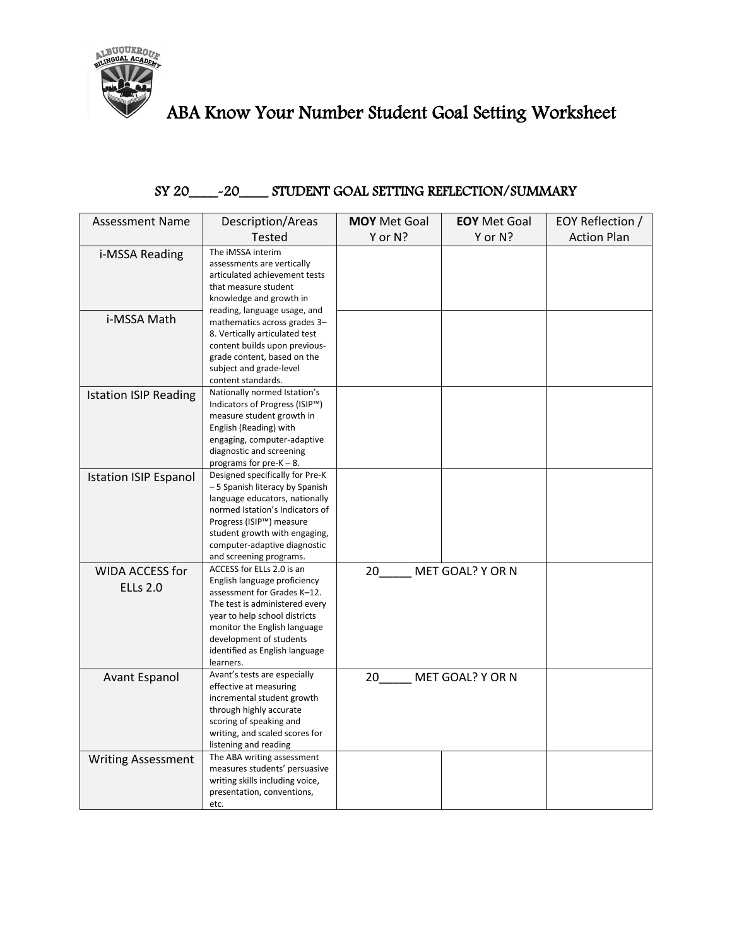

## ABA Know Your Number Student Goal Setting Worksheet

## SY 20\_\_\_\_-20\_\_\_\_ STUDENT GOAL SETTING REFLECTION/SUMMARY

| <b>Assessment Name</b>             | Description/Areas                                                                                                                                                                                                                                                     | <b>MOY</b> Met Goal    | <b>EOY</b> Met Goal | EOY Reflection /   |
|------------------------------------|-----------------------------------------------------------------------------------------------------------------------------------------------------------------------------------------------------------------------------------------------------------------------|------------------------|---------------------|--------------------|
|                                    | <b>Tested</b>                                                                                                                                                                                                                                                         | Y or N?                | Y or N?             | <b>Action Plan</b> |
| i-MSSA Reading                     | The iMSSA interim<br>assessments are vertically<br>articulated achievement tests<br>that measure student<br>knowledge and growth in                                                                                                                                   |                        |                     |                    |
| i-MSSA Math                        | reading, language usage, and<br>mathematics across grades 3-<br>8. Vertically articulated test<br>content builds upon previous-<br>grade content, based on the<br>subject and grade-level<br>content standards.                                                       |                        |                     |                    |
| <b>Istation ISIP Reading</b>       | Nationally normed Istation's<br>Indicators of Progress (ISIP™)<br>measure student growth in<br>English (Reading) with<br>engaging, computer-adaptive<br>diagnostic and screening<br>programs for $pre-K - 8$ .                                                        |                        |                     |                    |
| <b>Istation ISIP Espanol</b>       | Designed specifically for Pre-K<br>- 5 Spanish literacy by Spanish<br>language educators, nationally<br>normed Istation's Indicators of<br>Progress (ISIP™) measure<br>student growth with engaging,<br>computer-adaptive diagnostic<br>and screening programs.       |                        |                     |                    |
| WIDA ACCESS for<br><b>ELLs 2.0</b> | ACCESS for ELLs 2.0 is an<br>English language proficiency<br>assessment for Grades K-12.<br>The test is administered every<br>year to help school districts<br>monitor the English language<br>development of students<br>identified as English language<br>learners. | 20                     | MET GOAL? Y OR N    |                    |
| <b>Avant Espanol</b>               | Avant's tests are especially<br>effective at measuring<br>incremental student growth<br>through highly accurate<br>scoring of speaking and<br>writing, and scaled scores for<br>listening and reading                                                                 | MET GOAL? Y OR N<br>20 |                     |                    |
| <b>Writing Assessment</b>          | The ABA writing assessment<br>measures students' persuasive<br>writing skills including voice,<br>presentation, conventions,<br>etc.                                                                                                                                  |                        |                     |                    |